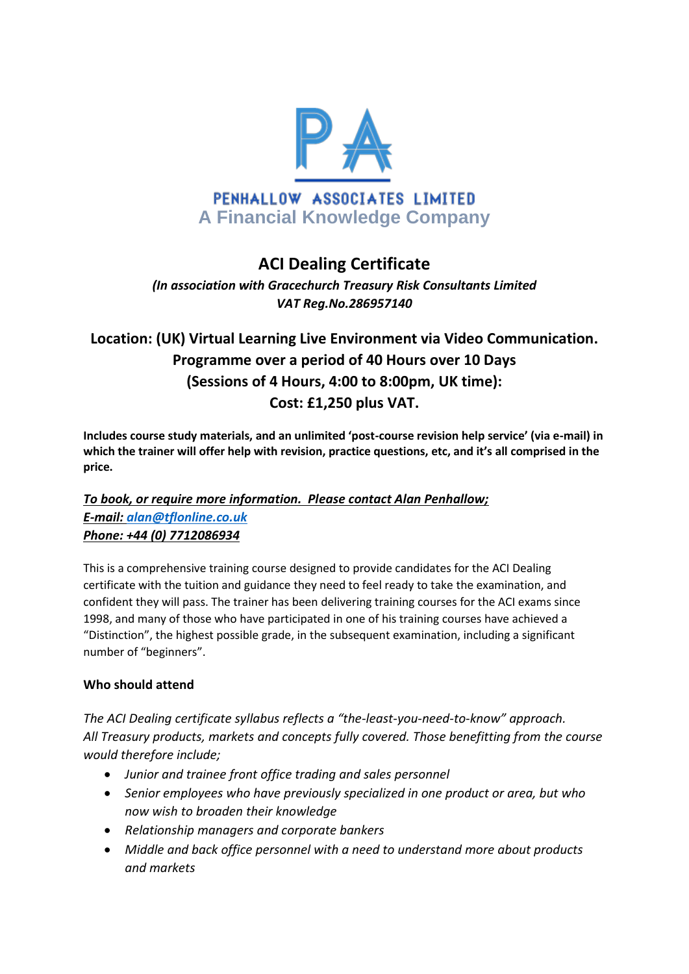

# **ACI Dealing Certificate**

*(In association with Gracechurch Treasury Risk Consultants Limited VAT Reg.No.286957140*

## **Location: (UK) Virtual Learning Live Environment via Video Communication. Programme over a period of 40 Hours over 10 Days (Sessions of 4 Hours, 4:00 to 8:00pm, UK time): Cost: £1,250 plus VAT.**

**Includes course study materials, and an unlimited 'post-course revision help service' (via e-mail) in which the trainer will offer help with revision, practice questions, etc, and it's all comprised in the price.** 

### *To book, or require more information. Please contact Alan Penhallow; E-mail: [alan@tflonline.co.uk](mailto:alan@tflonline.co.uk) Phone: +44 (0) 7712086934*

This is a comprehensive training course designed to provide candidates for the ACI Dealing certificate with the tuition and guidance they need to feel ready to take the examination, and confident they will pass. The trainer has been delivering training courses for the ACI exams since 1998, and many of those who have participated in one of his training courses have achieved a "Distinction", the highest possible grade, in the subsequent examination, including a significant number of "beginners".

### **Who should attend**

*The ACI Dealing certificate syllabus reflects a "the-least-you-need-to-know" approach. All Treasury products, markets and concepts fully covered. Those benefitting from the course would therefore include;*

- *Junior and trainee front office trading and sales personnel*
- *Senior employees who have previously specialized in one product or area, but who now wish to broaden their knowledge*
- *Relationship managers and corporate bankers*
- *Middle and back office personnel with a need to understand more about products and markets*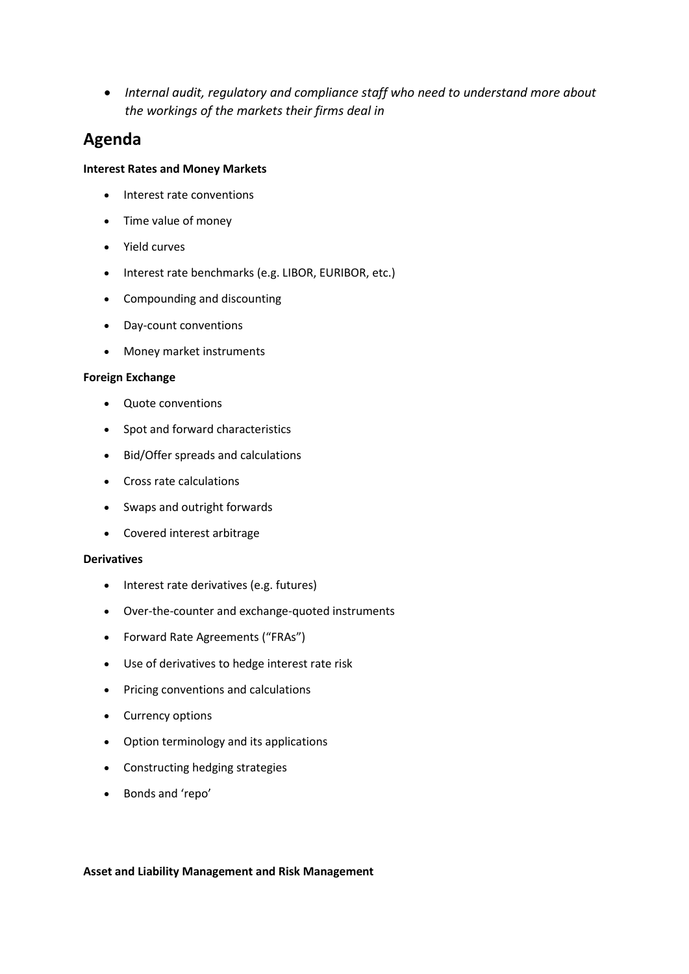*Internal audit, regulatory and compliance staff who need to understand more about the workings of the markets their firms deal in*

## **Agenda**

#### **Interest Rates and Money Markets**

- Interest rate conventions
- Time value of money
- Yield curves
- Interest rate benchmarks (e.g. LIBOR, EURIBOR, etc.)
- Compounding and discounting
- Day-count conventions
- Money market instruments

#### **Foreign Exchange**

- Quote conventions
- Spot and forward characteristics
- Bid/Offer spreads and calculations
- Cross rate calculations
- Swaps and outright forwards
- Covered interest arbitrage

#### **Derivatives**

- Interest rate derivatives (e.g. futures)
- Over-the-counter and exchange-quoted instruments
- Forward Rate Agreements ("FRAs")
- Use of derivatives to hedge interest rate risk
- Pricing conventions and calculations
- Currency options
- Option terminology and its applications
- Constructing hedging strategies
- Bonds and 'repo'

#### **Asset and Liability Management and Risk Management**